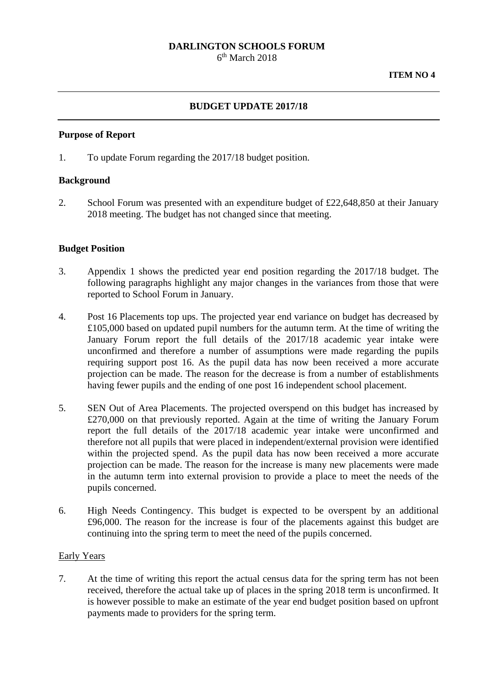# **DARLINGTON SCHOOLS FORUM**

 $6<sup>th</sup> March 2018$ 

## **BUDGET UPDATE 2017/18**

#### **Purpose of Report**

1. To update Forum regarding the 2017/18 budget position.

#### **Background**

2. School Forum was presented with an expenditure budget of £22,648,850 at their January 2018 meeting. The budget has not changed since that meeting.

## **Budget Position**

- 3. Appendix 1 shows the predicted year end position regarding the 2017/18 budget. The following paragraphs highlight any major changes in the variances from those that were reported to School Forum in January.
- 4. Post 16 Placements top ups. The projected year end variance on budget has decreased by £105,000 based on updated pupil numbers for the autumn term. At the time of writing the January Forum report the full details of the 2017/18 academic year intake were unconfirmed and therefore a number of assumptions were made regarding the pupils requiring support post 16. As the pupil data has now been received a more accurate projection can be made. The reason for the decrease is from a number of establishments having fewer pupils and the ending of one post 16 independent school placement.
- 5. SEN Out of Area Placements. The projected overspend on this budget has increased by £270,000 on that previously reported. Again at the time of writing the January Forum report the full details of the 2017/18 academic year intake were unconfirmed and therefore not all pupils that were placed in independent/external provision were identified within the projected spend. As the pupil data has now been received a more accurate projection can be made. The reason for the increase is many new placements were made in the autumn term into external provision to provide a place to meet the needs of the pupils concerned.
- 6. High Needs Contingency. This budget is expected to be overspent by an additional £96,000. The reason for the increase is four of the placements against this budget are continuing into the spring term to meet the need of the pupils concerned.

#### Early Years

7. At the time of writing this report the actual census data for the spring term has not been received, therefore the actual take up of places in the spring 2018 term is unconfirmed. It is however possible to make an estimate of the year end budget position based on upfront payments made to providers for the spring term.